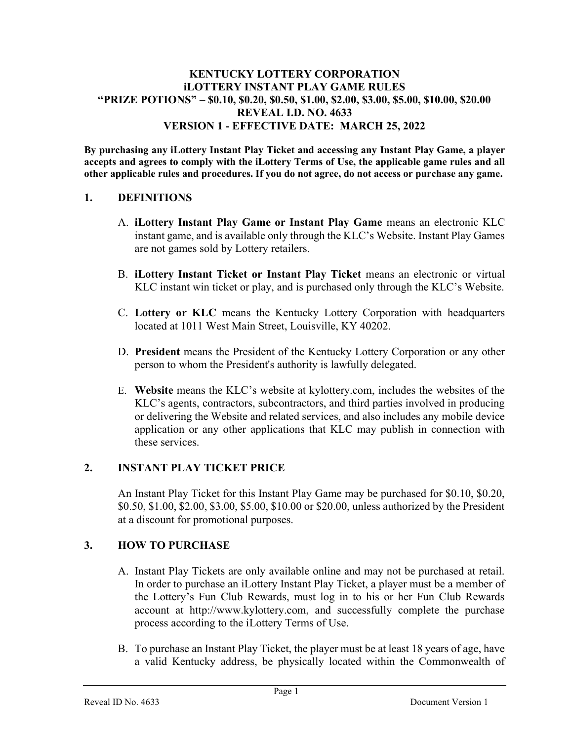#### KENTUCKY LOTTERY CORPORATION iLOTTERY INSTANT PLAY GAME RULES "PRIZE POTIONS" – \$0.10, \$0.20, \$0.50, \$1.00, \$2.00, \$3.00, \$5.00, \$10.00, \$20.00 REVEAL I.D. NO. 4633 VERSION 1 - EFFECTIVE DATE: MARCH 25, 2022

By purchasing any iLottery Instant Play Ticket and accessing any Instant Play Game, a player accepts and agrees to comply with the iLottery Terms of Use, the applicable game rules and all other applicable rules and procedures. If you do not agree, do not access or purchase any game.

#### 1. DEFINITIONS

- A. iLottery Instant Play Game or Instant Play Game means an electronic KLC instant game, and is available only through the KLC's Website. Instant Play Games are not games sold by Lottery retailers.
- B. iLottery Instant Ticket or Instant Play Ticket means an electronic or virtual KLC instant win ticket or play, and is purchased only through the KLC's Website.
- C. Lottery or KLC means the Kentucky Lottery Corporation with headquarters located at 1011 West Main Street, Louisville, KY 40202.
- D. President means the President of the Kentucky Lottery Corporation or any other person to whom the President's authority is lawfully delegated.
- E. Website means the KLC's website at kylottery.com, includes the websites of the KLC's agents, contractors, subcontractors, and third parties involved in producing or delivering the Website and related services, and also includes any mobile device application or any other applications that KLC may publish in connection with these services.

#### 2. INSTANT PLAY TICKET PRICE

An Instant Play Ticket for this Instant Play Game may be purchased for \$0.10, \$0.20, \$0.50, \$1.00, \$2.00, \$3.00, \$5.00, \$10.00 or \$20.00, unless authorized by the President at a discount for promotional purposes.

## 3. HOW TO PURCHASE

- A. Instant Play Tickets are only available online and may not be purchased at retail. In order to purchase an iLottery Instant Play Ticket, a player must be a member of the Lottery's Fun Club Rewards, must log in to his or her Fun Club Rewards account at http://www.kylottery.com, and successfully complete the purchase process according to the iLottery Terms of Use.
- B. To purchase an Instant Play Ticket, the player must be at least 18 years of age, have a valid Kentucky address, be physically located within the Commonwealth of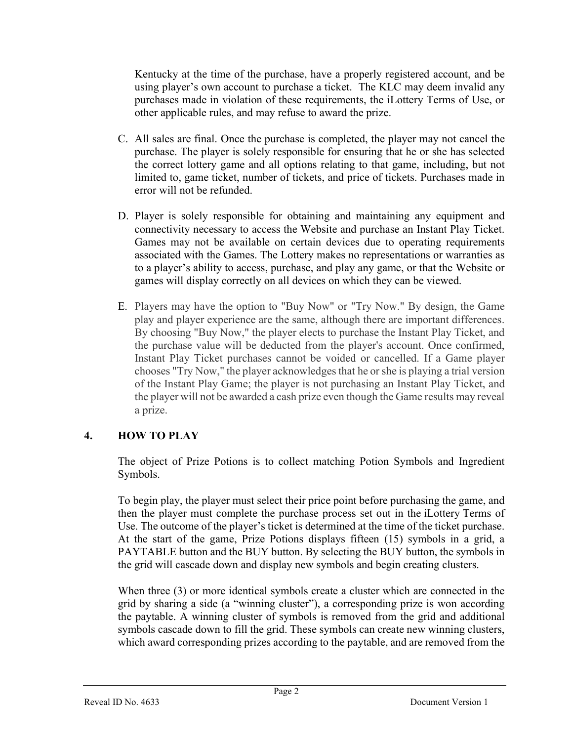Kentucky at the time of the purchase, have a properly registered account, and be using player's own account to purchase a ticket. The KLC may deem invalid any purchases made in violation of these requirements, the iLottery Terms of Use, or other applicable rules, and may refuse to award the prize.

- C. All sales are final. Once the purchase is completed, the player may not cancel the purchase. The player is solely responsible for ensuring that he or she has selected the correct lottery game and all options relating to that game, including, but not limited to, game ticket, number of tickets, and price of tickets. Purchases made in error will not be refunded.
- D. Player is solely responsible for obtaining and maintaining any equipment and connectivity necessary to access the Website and purchase an Instant Play Ticket. Games may not be available on certain devices due to operating requirements associated with the Games. The Lottery makes no representations or warranties as to a player's ability to access, purchase, and play any game, or that the Website or games will display correctly on all devices on which they can be viewed.
- E. Players may have the option to "Buy Now" or "Try Now." By design, the Game play and player experience are the same, although there are important differences. By choosing "Buy Now," the player elects to purchase the Instant Play Ticket, and the purchase value will be deducted from the player's account. Once confirmed, Instant Play Ticket purchases cannot be voided or cancelled. If a Game player chooses "Try Now," the player acknowledges that he or she is playing a trial version of the Instant Play Game; the player is not purchasing an Instant Play Ticket, and the player will not be awarded a cash prize even though the Game results may reveal a prize.

## 4. HOW TO PLAY

The object of Prize Potions is to collect matching Potion Symbols and Ingredient Symbols.

To begin play, the player must select their price point before purchasing the game, and then the player must complete the purchase process set out in the iLottery Terms of Use. The outcome of the player's ticket is determined at the time of the ticket purchase. At the start of the game, Prize Potions displays fifteen (15) symbols in a grid, a PAYTABLE button and the BUY button. By selecting the BUY button, the symbols in the grid will cascade down and display new symbols and begin creating clusters.

When three (3) or more identical symbols create a cluster which are connected in the grid by sharing a side (a "winning cluster"), a corresponding prize is won according the paytable. A winning cluster of symbols is removed from the grid and additional symbols cascade down to fill the grid. These symbols can create new winning clusters, which award corresponding prizes according to the paytable, and are removed from the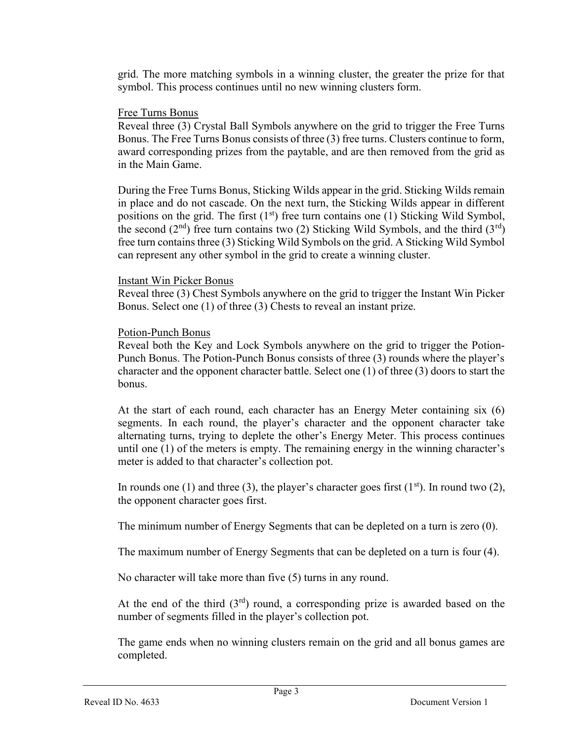grid. The more matching symbols in a winning cluster, the greater the prize for that symbol. This process continues until no new winning clusters form.

#### Free Turns Bonus

Reveal three (3) Crystal Ball Symbols anywhere on the grid to trigger the Free Turns Bonus. The Free Turns Bonus consists of three (3) free turns. Clusters continue to form, award corresponding prizes from the paytable, and are then removed from the grid as in the Main Game.

During the Free Turns Bonus, Sticking Wilds appear in the grid. Sticking Wilds remain in place and do not cascade. On the next turn, the Sticking Wilds appear in different positions on the grid. The first  $(1<sup>st</sup>)$  free turn contains one (1) Sticking Wild Symbol, the second ( $2<sup>nd</sup>$ ) free turn contains two (2) Sticking Wild Symbols, and the third ( $3<sup>rd</sup>$ ) free turn contains three (3) Sticking Wild Symbols on the grid. A Sticking Wild Symbol can represent any other symbol in the grid to create a winning cluster.

#### Instant Win Picker Bonus

Reveal three (3) Chest Symbols anywhere on the grid to trigger the Instant Win Picker Bonus. Select one (1) of three (3) Chests to reveal an instant prize.

#### Potion-Punch Bonus

Reveal both the Key and Lock Symbols anywhere on the grid to trigger the Potion-Punch Bonus. The Potion-Punch Bonus consists of three (3) rounds where the player's character and the opponent character battle. Select one (1) of three (3) doors to start the bonus.

At the start of each round, each character has an Energy Meter containing six (6) segments. In each round, the player's character and the opponent character take alternating turns, trying to deplete the other's Energy Meter. This process continues until one (1) of the meters is empty. The remaining energy in the winning character's meter is added to that character's collection pot.

In rounds one (1) and three (3), the player's character goes first ( $1<sup>st</sup>$ ). In round two (2), the opponent character goes first.

The minimum number of Energy Segments that can be depleted on a turn is zero (0).

The maximum number of Energy Segments that can be depleted on a turn is four (4).

No character will take more than five (5) turns in any round.

At the end of the third  $(3<sup>rd</sup>)$  round, a corresponding prize is awarded based on the number of segments filled in the player's collection pot.

The game ends when no winning clusters remain on the grid and all bonus games are completed.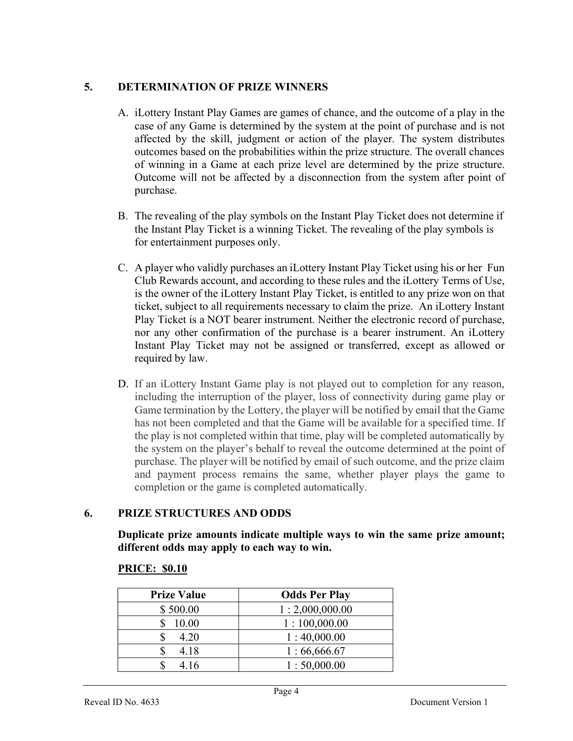#### 5. DETERMINATION OF PRIZE WINNERS

- A. iLottery Instant Play Games are games of chance, and the outcome of a play in the case of any Game is determined by the system at the point of purchase and is not affected by the skill, judgment or action of the player. The system distributes outcomes based on the probabilities within the prize structure. The overall chances of winning in a Game at each prize level are determined by the prize structure. Outcome will not be affected by a disconnection from the system after point of purchase.
- B. The revealing of the play symbols on the Instant Play Ticket does not determine if the Instant Play Ticket is a winning Ticket. The revealing of the play symbols is for entertainment purposes only.
- C. A player who validly purchases an iLottery Instant Play Ticket using his or her Fun Club Rewards account, and according to these rules and the iLottery Terms of Use, is the owner of the iLottery Instant Play Ticket, is entitled to any prize won on that ticket, subject to all requirements necessary to claim the prize. An iLottery Instant Play Ticket is a NOT bearer instrument. Neither the electronic record of purchase, nor any other confirmation of the purchase is a bearer instrument. An iLottery Instant Play Ticket may not be assigned or transferred, except as allowed or required by law.
- D. If an iLottery Instant Game play is not played out to completion for any reason, including the interruption of the player, loss of connectivity during game play or Game termination by the Lottery, the player will be notified by email that the Game has not been completed and that the Game will be available for a specified time. If the play is not completed within that time, play will be completed automatically by the system on the player's behalf to reveal the outcome determined at the point of purchase. The player will be notified by email of such outcome, and the prize claim and payment process remains the same, whether player plays the game to completion or the game is completed automatically.

## 6. PRIZE STRUCTURES AND ODDS

Duplicate prize amounts indicate multiple ways to win the same prize amount; different odds may apply to each way to win.

# PRICE: \$0.10

| <b>Prize Value</b> | <b>Odds Per Play</b> |
|--------------------|----------------------|
| \$500.00           | 1:2,000,000.00       |
| 10.00              | 1:100,000.00         |
| 4.20               | 1:40,000.00          |
| 4.18               | 1:66,666.67          |
| 4.16               | 1:50,000.00          |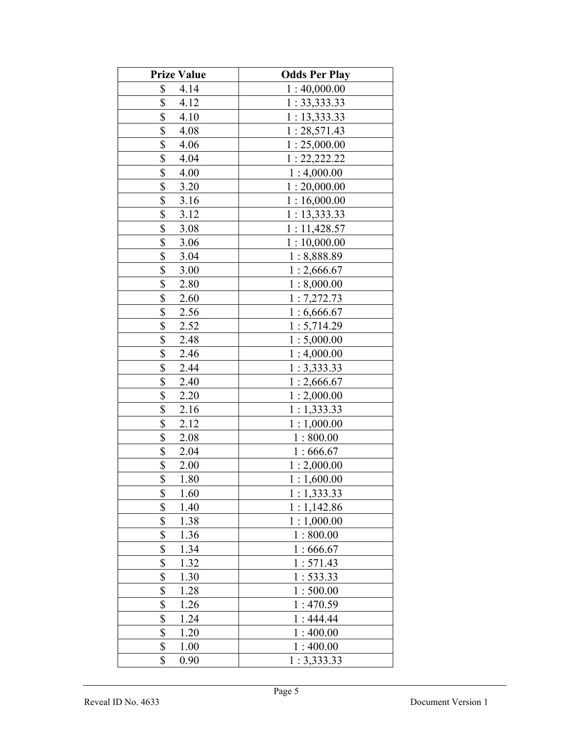| <b>Prize Value</b>    | <b>Odds Per Play</b> |
|-----------------------|----------------------|
| \$<br>4.14            | 1:40,000.00          |
| \$<br>4.12            | 1: 33,333.33         |
| \$<br>4.10            | 1: 13,333.33         |
| \$<br>4.08            | 1:28,571.43          |
| \$<br>4.06            | 1:25,000.00          |
| \$<br>4.04            | 1: 22, 222.22        |
| \$<br>4.00            | 1:4,000.00           |
| \$<br>3.20            | 1:20,000.00          |
| \$<br>3.16            | 1:16,000.00          |
| \$<br>3.12            | 1: 13,333.33         |
| \$<br>3.08            | 1:11,428.57          |
| \$<br>3.06            | 1:10,000.00          |
| \$<br>3.04            | 1:8,888.89           |
| \$<br>3.00            | 1:2,666.67           |
| \$<br>2.80            | 1:8,000.00           |
| \$<br>2.60            | 1:7,272.73           |
| \$<br>2.56            | 1:6,666.67           |
| \$<br>2.52            | 1:5,714.29           |
| \$<br>2.48            | 1:5,000.00           |
| \$<br>2.46            | 1:4,000.00           |
| \$<br>2.44            | 1:3,333.33           |
| \$<br>2.40            | 1:2,666.67           |
| \$<br>2.20            | 1:2,000.00           |
| \$<br>2.16            | 1:1,333.33           |
| \$<br>2.12            | 1:1,000.00           |
| $\frac{1}{2}$<br>2.08 | 1:800.00             |
| $\frac{1}{2}$<br>2.04 | 1:666.67             |
| \$<br>2.00            | 1:2,000.00           |
| \$<br>1.80            | 1:1,600.00           |
| \$<br>1.60            | 1:1,333.33           |
| \$<br>1.40            | 1:1,142.86           |
| \$<br>1.38            | 1:1,000.00           |
| \$<br>1.36            | 1:800.00             |
| \$<br>1.34            | 1:666.67             |
| \$<br>1.32            | 1:571.43             |
| \$<br>1.30            | 1: 533.33            |
| \$<br>1.28            | 1:500.00             |
| \$<br>1.26            | 1:470.59             |
| \$<br>1.24            | 1:444.44             |
| \$<br>1.20            | 1:400.00             |
| \$<br>1.00            | 1:400.00             |
| \$<br>0.90            | 1:3,333.33           |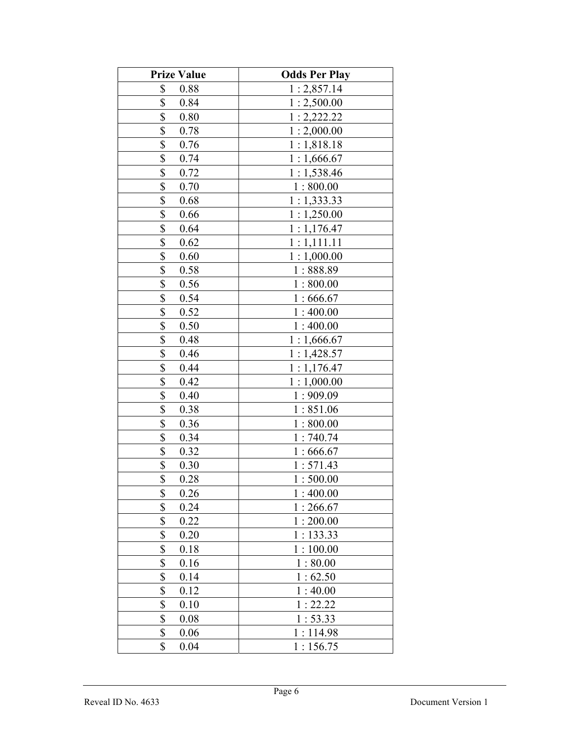| <b>Prize Value</b>                | <b>Odds Per Play</b> |
|-----------------------------------|----------------------|
| \$<br>0.88                        | 1:2,857.14           |
| \$<br>0.84                        | 1:2,500.00           |
| \$<br>0.80                        | 1:2,222.22           |
| \$<br>0.78                        | 1:2,000.00           |
| \$<br>0.76                        | 1:1,818.18           |
| \$<br>0.74                        | 1:1,666.67           |
| $\boldsymbol{\mathsf{S}}$<br>0.72 | 1:1,538.46           |
| \$<br>0.70                        | 1:800.00             |
| \$<br>0.68                        | 1:1,333.33           |
| \$<br>0.66                        | 1:1,250.00           |
| \$<br>0.64                        | 1:1,176.47           |
| \$<br>0.62                        | 1:1,111.11           |
| \$<br>0.60                        | 1:1,000.00           |
| \$<br>0.58                        | 1:888.89             |
| \$<br>0.56                        | 1:800.00             |
| \$<br>0.54                        | 1:666.67             |
| \$<br>0.52                        | 1:400.00             |
| \$<br>0.50                        | 1:400.00             |
| \$<br>0.48                        | 1:1,666.67           |
| \$<br>0.46                        | 1:1,428.57           |
| \$<br>0.44                        | 1:1,176.47           |
| \$<br>0.42                        | 1:1,000.00           |
| \$<br>0.40                        | 1:909.09             |
| \$<br>0.38                        | 1:851.06             |
| \$<br>0.36                        | 1:800.00             |
| \$<br>0.34                        | 1:740.74             |
| \$<br>0.32                        | 1:666.67             |
| \$<br>0.30                        | 1:571.43             |
| \$<br>0.28                        | 1:500.00             |
| \$<br>0.26                        | 1:400.00             |
| \$<br>0.24                        | 1:266.67             |
| \$<br>0.22                        | 1:200.00             |
| \$<br>0.20                        | 1:133.33             |
| \$<br>0.18                        | 1:100.00             |
| \$<br>0.16                        | 1:80.00              |
| \$<br>0.14                        | 1:62.50              |
| \$<br>0.12                        | 1:40.00              |
| \$<br>0.10                        | 1:22.22              |
| \$<br>0.08                        | 1:53.33              |
| \$<br>0.06                        | 1:114.98             |
| \$<br>0.04                        | 1:156.75             |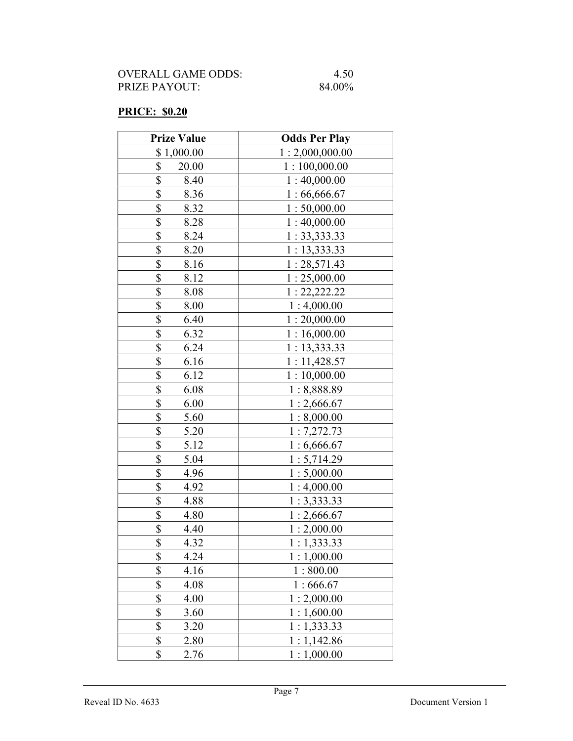| OVERALL GAME ODDS: | 4.50   |
|--------------------|--------|
| PRIZE PAYOUT:      | 84.00% |

## PRICE: \$0.20

| <b>Prize Value</b> | <b>Odds Per Play</b> |
|--------------------|----------------------|
| \$1,000.00         | 1:2,000,000.00       |
| \$<br>20.00        | 1:100,000.00         |
| \$<br>8.40         | 1:40,000.00          |
| \$<br>8.36         | 1:66,666.67          |
| \$<br>8.32         | 1:50,000.00          |
| \$<br>8.28         | 1:40,000.00          |
| \$<br>8.24         | 1: 33,333.33         |
| \$<br>8.20         | 1:13,333.33          |
| \$<br>8.16         | 1:28,571.43          |
| \$<br>8.12         | 1:25,000.00          |
| \$<br>8.08         | 1: 22, 222.22        |
| \$<br>8.00         | 1:4,000.00           |
| \$<br>6.40         | 1:20,000.00          |
| \$<br>6.32         | 1:16,000.00          |
| \$<br>6.24         | 1: 13,333.33         |
| \$<br>6.16         | 1:11,428.57          |
| \$<br>6.12         | 1:10,000.00          |
| \$<br>6.08         | 1:8,888.89           |
| \$<br>6.00         | 1:2,666.67           |
| \$<br>5.60         | 1:8,000.00           |
| \$<br>5.20         | 1:7,272.73           |
| \$<br>5.12         | 1:6,666.67           |
| \$<br>5.04         | 1:5,714.29           |
| \$<br>4.96         | 1:5,000.00           |
| \$<br>4.92         | 1:4,000.00           |
| \$<br>4.88         | 1:3,333.33           |
| \$<br>4.80         | 1:2,666.67           |
| \$<br>4.40         | 1:2,000.00           |
| \$<br>4.32         | 1:1,333.33           |
| \$<br>4.24         | 1:1,000.00           |
| \$<br>4.16         | 1:800.00             |
| \$<br>4.08         | 1:666.67             |
| \$<br>4.00         | 1:2,000.00           |
| \$<br>3.60         | 1:1,600.00           |
| \$<br>3.20         | 1:1,333.33           |
| \$<br>2.80         | 1:1,142.86           |
| \$<br>2.76         | 1:1,000.00           |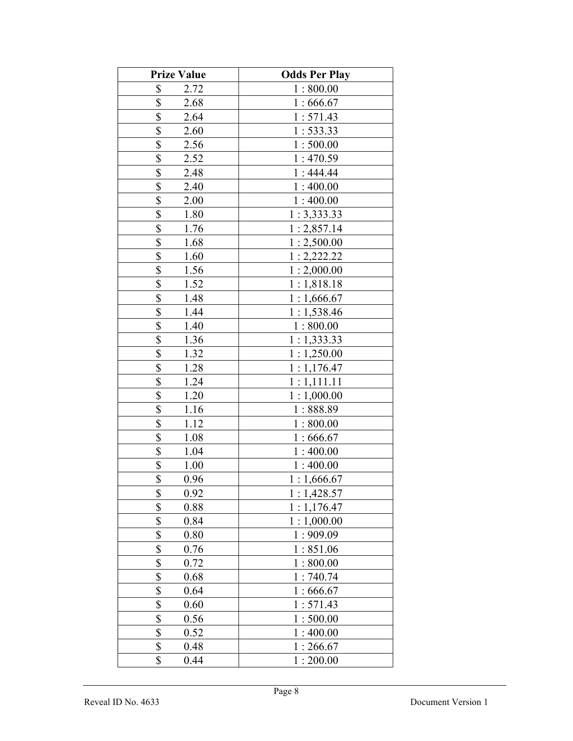| <b>Prize Value</b>                | <b>Odds Per Play</b> |
|-----------------------------------|----------------------|
| \$<br>2.72                        | 1:800.00             |
| \$<br>2.68                        | 1:666.67             |
| \$<br>2.64                        | 1:571.43             |
| \$<br>2.60                        | 1:533.33             |
| \$<br>2.56                        | 1:500.00             |
| \$<br>2.52                        | 1:470.59             |
| \$<br>2.48                        | 1:444.44             |
| \$<br>2.40                        | 1:400.00             |
| \$<br>2.00                        | 1:400.00             |
| \$<br>1.80                        | 1:3,333.33           |
| \$<br>1.76                        | 1:2,857.14           |
| \$<br>1.68                        | 1:2,500.00           |
| \$<br>1.60                        | 1:2,222.22           |
| \$<br>1.56                        | 1:2,000.00           |
| \$<br>1.52                        | 1:1,818.18           |
| \$<br>1.48                        | 1:1,666.67           |
| \$<br>1.44                        | 1:1,538.46           |
| \$<br>1.40                        | 1:800.00             |
| \$<br>1.36                        | 1:1,333.33           |
| \$<br>1.32                        | 1:1,250.00           |
| \$<br>1.28                        | 1:1,176.47           |
| \$<br>1.24                        | 1:1,111.11           |
| \$<br>1.20                        | 1:1,000.00           |
| \$<br>1.16                        | 1:888.89             |
| \$<br>1.12                        | 1:800.00             |
| $\boldsymbol{\mathsf{S}}$<br>1.08 | 1:666.67             |
| $\boldsymbol{\mathsf{S}}$<br>1.04 | 1:400.00             |
| \$<br>1.00                        | 1:400.00             |
| \$<br>0.96                        | 1:1,666.67           |
| \$<br>0.92                        | 1:1,428.57           |
| \$<br>0.88                        | 1:1,176.47           |
| \$<br>0.84                        | 1:1,000.00           |
| \$<br>0.80                        | 1:909.09             |
| \$<br>0.76                        | 1:851.06             |
| \$<br>0.72                        | 1:800.00             |
| \$<br>0.68                        | 1:740.74             |
| \$<br>0.64                        | 1:666.67             |
| \$<br>0.60                        | 1:571.43             |
| \$<br>0.56                        | 1:500.00             |
| \$<br>0.52                        | 1:400.00             |
| \$<br>0.48                        | 1:266.67             |
| \$<br>0.44                        | 1:200.00             |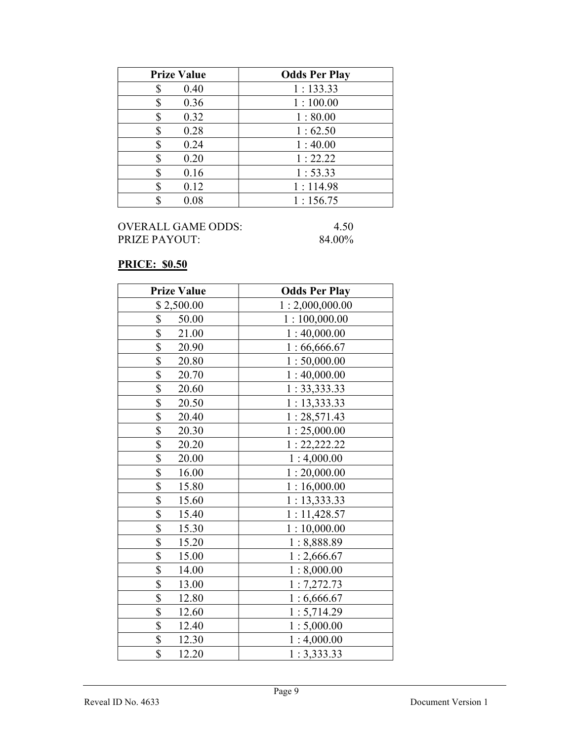| <b>Prize Value</b> | <b>Odds Per Play</b> |
|--------------------|----------------------|
| 0.40<br>S          | 1:133.33             |
| 0.36               | 1:100.00             |
| 0.32               | 1:80.00              |
| 0.28<br>\$         | 1:62.50              |
| 0.24<br>S          | 1:40.00              |
| 0.20               | 1:22.22              |
| 0.16               | 1:53.33              |
| 0.12<br>S          | 1:114.98             |
| 0.08               | 1:156.75             |

## PRICE: \$0.50

| <b>Prize Value</b> | <b>Odds Per Play</b> |
|--------------------|----------------------|
| \$2,500.00         | 1:2,000,000.00       |
| \$<br>50.00        | 1:100,000.00         |
| \$<br>21.00        | 1:40,000.00          |
| \$<br>20.90        | 1:66,666.67          |
| \$<br>20.80        | 1:50,000.00          |
| \$<br>20.70        | 1:40,000.00          |
| \$<br>20.60        | 1: 33,333.33         |
| \$<br>20.50        | 1: 13,333.33         |
| \$<br>20.40        | 1:28,571.43          |
| \$<br>20.30        | 1:25,000.00          |
| \$<br>20.20        | 1: 22, 222.22        |
| \$<br>20.00        | 1:4,000.00           |
| \$<br>16.00        | 1:20,000.00          |
| \$<br>15.80        | 1:16,000.00          |
| \$<br>15.60        | 1: 13,333.33         |
| \$<br>15.40        | 1:11,428.57          |
| \$<br>15.30        | 1:10,000.00          |
| \$<br>15.20        | 1:8,888.89           |
| \$<br>15.00        | 1:2,666.67           |
| \$<br>14.00        | 1:8,000.00           |
| \$<br>13.00        | 1:7,272.73           |
| \$<br>12.80        | 1:6,666.67           |
| \$<br>12.60        | 1:5,714.29           |
| \$<br>12.40        | 1:5,000.00           |
| \$<br>12.30        | 1:4,000.00           |
| \$<br>12.20        | 1:3,333.33           |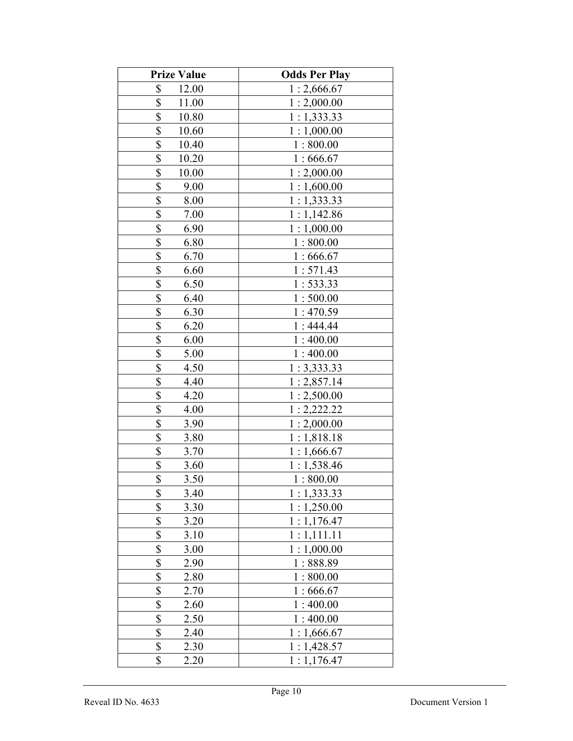| <b>Prize Value</b>                | <b>Odds Per Play</b> |
|-----------------------------------|----------------------|
| \$<br>12.00                       | 1:2,666.67           |
| \$<br>11.00                       | 1:2,000.00           |
| \$<br>10.80                       | 1:1,333.33           |
| \$<br>10.60                       | 1:1,000.00           |
| \$<br>10.40                       | 1:800.00             |
| \$<br>10.20                       | 1:666.67             |
| \$<br>10.00                       | 1:2,000.00           |
| \$<br>9.00                        | 1:1,600.00           |
| \$<br>8.00                        | 1:1,333.33           |
| \$<br>7.00                        | 1:1,142.86           |
| \$<br>6.90                        | 1:1,000.00           |
| \$<br>6.80                        | 1:800.00             |
| \$<br>6.70                        | 1:666.67             |
| \$<br>6.60                        | 1:571.43             |
| \$<br>6.50                        | 1:533.33             |
| \$<br>6.40                        | 1:500.00             |
| \$<br>6.30                        | 1:470.59             |
| \$<br>6.20                        | 1:444.44             |
| \$<br>6.00                        | 1:400.00             |
| \$<br>5.00                        | 1:400.00             |
| \$<br>4.50                        | 1:3,333.33           |
| \$<br>4.40                        | 1:2,857.14           |
| \$<br>4.20                        | 1:2,500.00           |
| \$<br>4.00                        | 1:2,222.22           |
| \$<br>3.90                        | 1:2,000.00           |
| $\boldsymbol{\mathsf{S}}$<br>3.80 | 1:1,818.18           |
| $\frac{1}{2}$<br>3.70             | 1:1,666.67           |
| $\overline{\mathbb{S}}$<br>3.60   | 1:1,538.46           |
| $\overline{\$}$<br>3.50           | 1:800.00             |
| \$<br>3.40                        | 1:1,333.33           |
| \$<br>3.30                        | 1:1,250.00           |
| \$<br>3.20                        | 1:1,176.47           |
| \$<br>3.10                        | 1:1,111.11           |
| \$<br>3.00                        | 1:1,000.00           |
| \$<br>2.90                        | 1:888.89             |
| \$<br>2.80                        | 1:800.00             |
| \$<br>2.70                        | 1:666.67             |
| \$<br>2.60                        | 1:400.00             |
| \$<br>2.50                        | 1:400.00             |
| \$<br>2.40                        | 1:1,666.67           |
| \$<br>2.30                        | 1:1,428.57           |
| \$<br>2.20                        | 1:1,176.47           |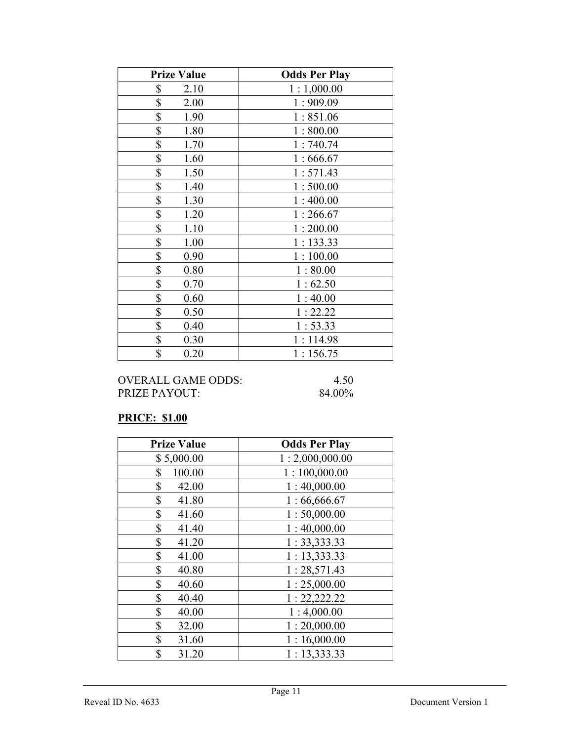| <b>Prize Value</b> | <b>Odds Per Play</b> |
|--------------------|----------------------|
| \$<br>2.10         | 1:1,000.00           |
| \$<br>2.00         | 1:909.09             |
| \$<br>1.90         | 1:851.06             |
| \$<br>1.80         | 1:800.00             |
| \$<br>1.70         | 1:740.74             |
| \$<br>1.60         | 1:666.67             |
| \$<br>1.50         | 1:571.43             |
| \$<br>1.40         | 1:500.00             |
| \$<br>1.30         | 1:400.00             |
| \$<br>1.20         | 1:266.67             |
| \$<br>1.10         | 1:200.00             |
| \$<br>1.00         | 1:133.33             |
| \$<br>0.90         | 1:100.00             |
| \$<br>0.80         | 1:80.00              |
| \$<br>0.70         | 1:62.50              |
| \$<br>0.60         | 1:40.00              |
| \$<br>0.50         | 1:22.22              |
| \$<br>0.40         | 1:53.33              |
| \$<br>0.30         | 1:114.98             |
| \$<br>0.20         | 1:156.75             |

## PRICE: \$1.00

| <b>Prize Value</b> | <b>Odds Per Play</b> |
|--------------------|----------------------|
| \$5,000.00         | 1:2,000,000.00       |
| \$<br>100.00       | 1:100,000.00         |
| \$<br>42.00        | 1:40,000.00          |
| \$<br>41.80        | 1:66,666.67          |
| \$<br>41.60        | 1:50,000.00          |
| \$<br>41.40        | 1:40,000.00          |
| \$<br>41.20        | 1: 33, 333.33        |
| \$<br>41.00        | 1:13,333.33          |
| \$<br>40.80        | 1:28,571.43          |
| \$<br>40.60        | 1:25,000.00          |
| \$<br>40.40        | 1: 22, 222.22        |
| \$<br>40.00        | 1:4,000.00           |
| \$<br>32.00        | 1:20,000.00          |
| \$<br>31.60        | 1:16,000.00          |
| \$<br>31.20        | 1: 13,333.33         |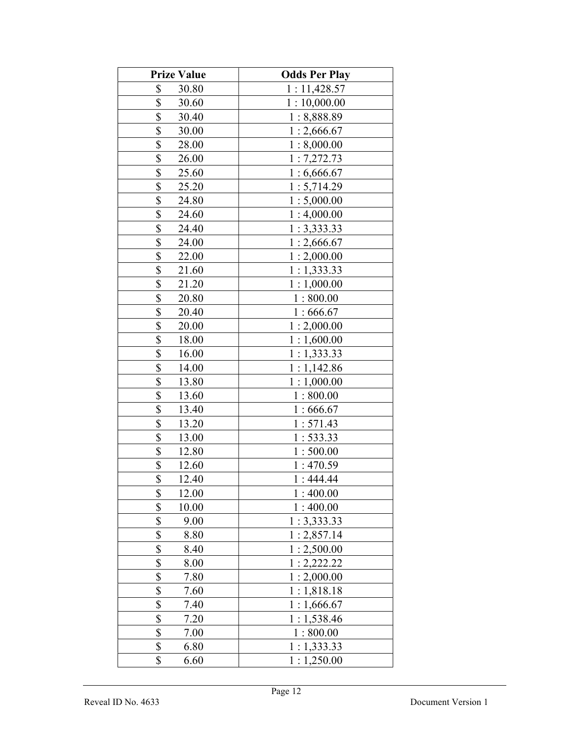| <b>Prize Value</b> | <b>Odds Per Play</b> |
|--------------------|----------------------|
| \$<br>30.80        | 1:11,428.57          |
| \$<br>30.60        | 1:10,000.00          |
| \$<br>30.40        | 1:8,888.89           |
| \$<br>30.00        | 1:2,666.67           |
| \$<br>28.00        | 1:8,000.00           |
| \$<br>26.00        | 1:7,272.73           |
| \$<br>25.60        | 1:6,666.67           |
| \$<br>25.20        | 1:5,714.29           |
| \$<br>24.80        | 1:5,000.00           |
| \$<br>24.60        | 1:4,000.00           |
| \$<br>24.40        | 1:3,333.33           |
| \$<br>24.00        | 1:2,666.67           |
| \$<br>22.00        | 1:2,000.00           |
| \$<br>21.60        | 1:1,333.33           |
| \$<br>21.20        | 1:1,000.00           |
| \$<br>20.80        | 1:800.00             |
| \$<br>20.40        | 1:666.67             |
| \$<br>20.00        | 1:2,000.00           |
| \$<br>18.00        | 1:1,600.00           |
| \$<br>16.00        | 1:1,333.33           |
| \$<br>14.00        | 1:1,142.86           |
| \$<br>13.80        | 1:1,000.00           |
| \$<br>13.60        | 1:800.00             |
| \$<br>13.40        | 1:666.67             |
| \$<br>13.20        | 1:571.43             |
| \$<br>13.00        | 1:533.33             |
| \$<br>12.80        | 1:500.00             |
| \$<br>12.60        | 1:470.59             |
| \$<br>12.40        | 1:444.44             |
| \$<br>12.00        | 1:400.00             |
| \$<br>10.00        | 1:400.00             |
| \$<br>9.00         | 1:3,333.33           |
| \$<br>8.80         | 1:2,857.14           |
| \$<br>8.40         | 1:2,500.00           |
| \$<br>8.00         | 1:2,222.22           |
| \$<br>7.80         | 1:2,000.00           |
| \$<br>7.60         | 1:1,818.18           |
| \$<br>7.40         | 1:1,666.67           |
| \$<br>7.20         | 1:1,538.46           |
| \$<br>7.00         | 1:800.00             |
| \$<br>6.80         | 1:1,333.33           |
| \$<br>6.60         | 1:1,250.00           |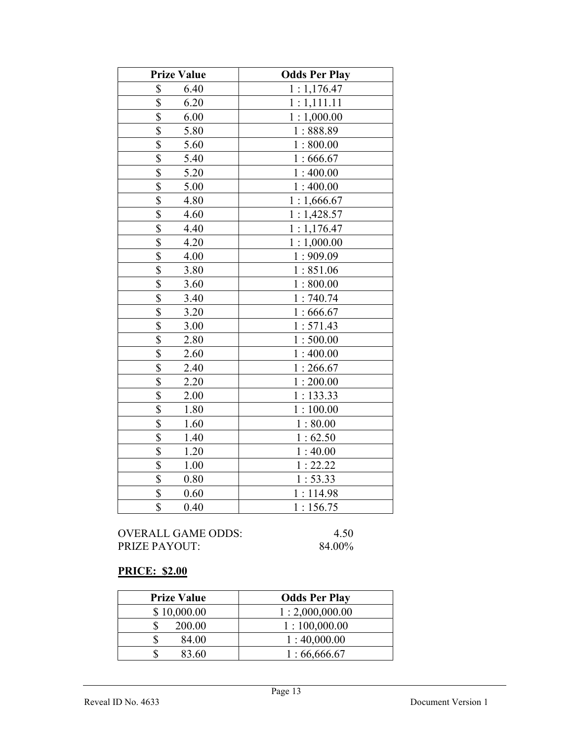| <b>Prize Value</b>                | <b>Odds Per Play</b> |
|-----------------------------------|----------------------|
| \$<br>6.40                        | 1:1,176.47           |
| $\overline{\$}$<br>6.20           | 1:1,111.11           |
| \$<br>6.00                        | 1:1,000.00           |
| \$<br>5.80                        | 1:888.89             |
| $\overline{\mathbb{S}}$<br>5.60   | 1:800.00             |
| \$<br>5.40                        | 1:666.67             |
| \$<br>5.20                        | 1:400.00             |
| \$<br>5.00                        | 1:400.00             |
| \$<br>4.80                        | 1:1,666.67           |
| \$<br>4.60                        | 1:1,428.57           |
| $\overline{\$}$<br>4.40           | 1:1,176.47           |
| \$<br>4.20                        | 1:1,000.00           |
| \$<br>4.00                        | 1:909.09             |
| \$<br>3.80                        | 1:851.06             |
| \$<br>3.60                        | 1:800.00             |
| \$<br>3.40                        | 1:740.74             |
| $\overline{\mathbb{S}}$<br>3.20   | 1:666.67             |
| \$<br>3.00                        | 1:571.43             |
| $\boldsymbol{\mathsf{S}}$<br>2.80 | 1:500.00             |
| $\overline{\$}$<br>2.60           | 1:400.00             |
| \$<br>2.40                        | 1:266.67             |
| \$<br>2.20                        | 1:200.00             |
| \$<br>2.00                        | 1:133.33             |
| \$<br>1.80                        | 1:100.00             |
| \$<br>1.60                        | 1:80.00              |
| $\overline{\$}$<br>1.40           | 1:62.50              |
| \$<br>1.20                        | 1:40.00              |
| \$<br>1.00                        | 1:22.22              |
| $\overline{\$}$<br>0.80           | 1:53.33              |
| \$<br>0.60                        | 1:114.98             |
| \$<br>0.40                        | 1:156.75             |

## PRICE: \$2.00

| <b>Prize Value</b> | <b>Odds Per Play</b> |
|--------------------|----------------------|
| \$10,000.00        | 1:2,000,000.00       |
| 200.00             | 1:100,000.00         |
| 84.00              | 1:40,000.00          |
| 83.60              | 1:66,666.67          |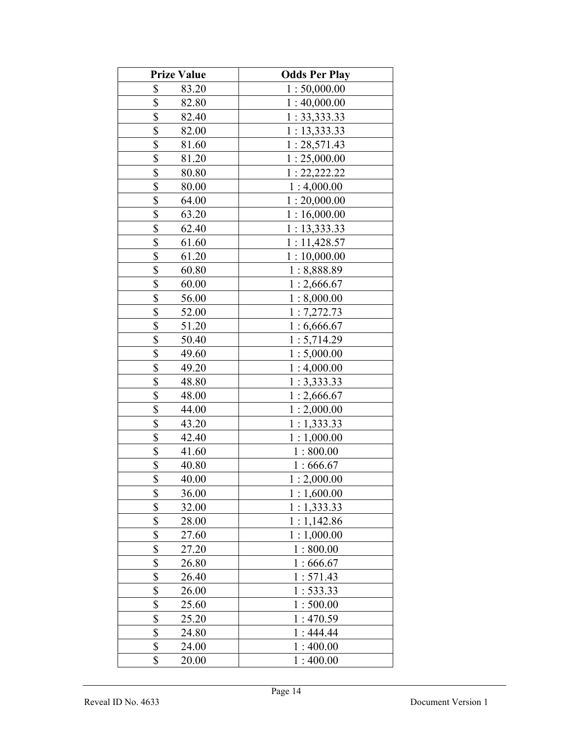| <b>Prize Value</b>                 | <b>Odds Per Play</b> |
|------------------------------------|----------------------|
| \$<br>83.20                        | 1:50,000.00          |
| \$<br>82.80                        | 1:40,000.00          |
| \$<br>82.40                        | 1:33,333.33          |
| \$<br>82.00                        | 1: 13, 333.33        |
| \$<br>81.60                        | 1:28,571.43          |
| \$<br>81.20                        | 1:25,000.00          |
| \$<br>80.80                        | 1: 22, 222.22        |
| \$<br>80.00                        | 1:4,000.00           |
| \$<br>64.00                        | 1:20,000.00          |
| \$<br>63.20                        | 1:16,000.00          |
| \$<br>62.40                        | 1:13,333.33          |
| \$<br>61.60                        | 1:11,428.57          |
| \$<br>61.20                        | 1:10,000.00          |
| \$<br>60.80                        | 1:8,888.89           |
| \$<br>60.00                        | 1:2,666.67           |
| \$<br>56.00                        | 1:8,000.00           |
| \$<br>52.00                        | 1:7,272.73           |
| \$<br>51.20                        | 1:6,666.67           |
| \$<br>50.40                        | 1:5,714.29           |
| \$<br>49.60                        | 1:5,000.00           |
| \$<br>49.20                        | 1:4,000.00           |
| \$<br>48.80                        | 1:3,333.33           |
| \$<br>48.00                        | 1:2,666.67           |
| \$<br>44.00                        | 1:2,000.00           |
| \$<br>43.20                        | 1:1,333.33           |
| $\boldsymbol{\mathsf{S}}$<br>42.40 | 1:1,000.00           |
| $\frac{1}{2}$<br>41.60             | 1:800.00             |
| \$<br>40.80                        | 1:666.67             |
| \$<br>40.00                        | 1:2,000.00           |
| \$<br>36.00                        | 1:1,600.00           |
| \$<br>32.00                        | 1:1,333.33           |
| \$<br>28.00                        | 1:1,142.86           |
| \$<br>27.60                        | 1:1,000.00           |
| \$<br>27.20                        | 1:800.00             |
| \$<br>26.80                        | 1:666.67             |
| \$<br>26.40                        | 1:571.43             |
| \$<br>26.00                        | 1:533.33             |
| \$<br>25.60                        | 1:500.00             |
| \$<br>25.20                        | 1:470.59             |
| \$<br>24.80                        | 1:444.44             |
| \$<br>24.00                        | 1:400.00             |
| \$<br>20.00                        | 1:400.00             |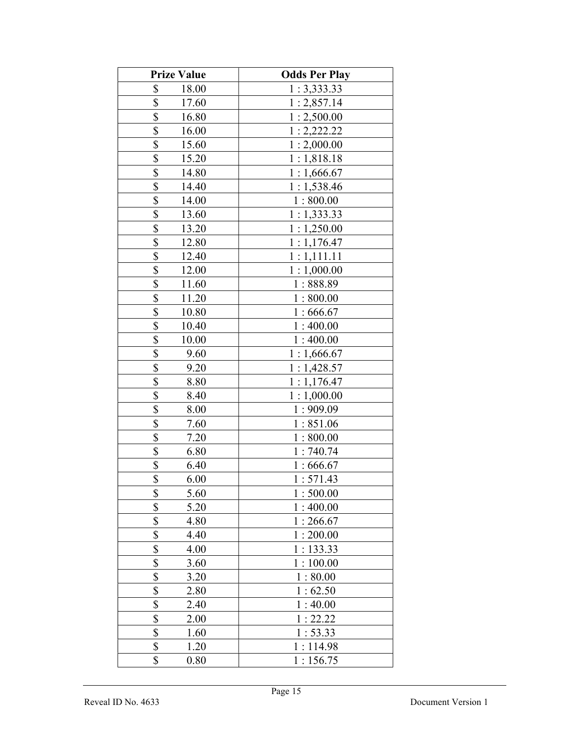| <b>Prize Value</b>                | <b>Odds Per Play</b> |
|-----------------------------------|----------------------|
| \$<br>18.00                       | 1:3,333.33           |
| \$<br>17.60                       | 1:2,857.14           |
| \$<br>16.80                       | 1:2,500.00           |
| \$<br>16.00                       | 1:2,222.22           |
| \$<br>15.60                       | 1:2,000.00           |
| \$<br>15.20                       | 1:1,818.18           |
| \$<br>14.80                       | 1:1,666.67           |
| \$<br>14.40                       | 1:1,538.46           |
| \$<br>14.00                       | 1:800.00             |
| \$<br>13.60                       | 1:1,333.33           |
| \$<br>13.20                       | 1:1,250.00           |
| \$<br>12.80                       | 1:1,176.47           |
| \$<br>12.40                       | 1:1,111.11           |
| \$<br>12.00                       | 1:1,000.00           |
| \$<br>11.60                       | 1:888.89             |
| \$<br>11.20                       | 1:800.00             |
| \$<br>10.80                       | 1:666.67             |
| \$<br>10.40                       | 1:400.00             |
| \$<br>10.00                       | 1:400.00             |
| \$<br>9.60                        | 1:1,666.67           |
| \$<br>9.20                        | 1:1,428.57           |
| \$<br>8.80                        | 1:1,176.47           |
| $\boldsymbol{\mathsf{S}}$<br>8.40 | 1:1,000.00           |
| $\overline{\mathbb{S}}$<br>8.00   | 1:909.09             |
| \$<br>7.60                        | 1:851.06             |
| $\overline{\mathbb{S}}$<br>7.20   | 1:800.00             |
| \$<br>6.80                        | 1:740.74             |
| \$<br>6.40                        | 1:666.67             |
| \$<br>6.00                        | 1:571.43             |
| \$<br>5.60                        | 1:500.00             |
| \$<br>5.20                        | 1:400.00             |
| \$<br>4.80                        | 1:266.67             |
| \$<br>4.40                        | 1:200.00             |
| \$<br>4.00                        | 1:133.33             |
| \$<br>3.60                        | 1:100.00             |
| \$<br>3.20                        | 1:80.00              |
| \$<br>2.80                        | 1:62.50              |
| \$<br>2.40                        | 1:40.00              |
| \$<br>2.00                        | 1:22.22              |
| \$<br>1.60                        | 1:53.33              |
| \$<br>1.20                        | 1:114.98             |
| \$<br>0.80                        | 1:156.75             |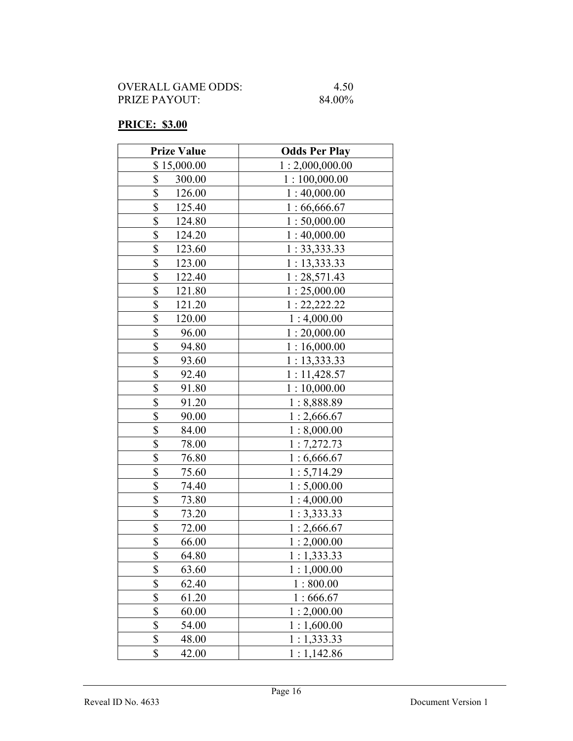## PRICE: \$3.00

| <b>Prize Value</b>                  | <b>Odds Per Play</b> |
|-------------------------------------|----------------------|
| \$15,000.00                         | 1:2,000,000.00       |
| \$<br>300.00                        | 1:100,000.00         |
| \$<br>126.00                        | 1:40,000.00          |
| \$<br>125.40                        | 1:66,666.67          |
| \$<br>124.80                        | 1:50,000.00          |
| \$<br>124.20                        | 1:40,000.00          |
| $\boldsymbol{\mathsf{S}}$<br>123.60 | 1: 33, 333.33        |
| \$<br>123.00                        | 1: 13,333.33         |
| \$<br>122.40                        | 1:28,571.43          |
| \$<br>121.80                        | 1:25,000.00          |
| \$<br>121.20                        | 1: 22, 222.22        |
| \$<br>120.00                        | 1:4,000.00           |
| \$<br>96.00                         | 1:20,000.00          |
| \$<br>94.80                         | 1:16,000.00          |
| \$<br>93.60                         | 1: 13,333.33         |
| \$<br>92.40                         | 1:11,428.57          |
| \$<br>91.80                         | 1:10,000.00          |
| \$<br>91.20                         | 1:8,888.89           |
| \$<br>90.00                         | 1:2,666.67           |
| \$<br>84.00                         | 1:8,000.00           |
| \$<br>78.00                         | 1:7,272.73           |
| \$<br>76.80                         | 1:6,666.67           |
| \$<br>75.60                         | 1:5,714.29           |
| \$<br>74.40                         | 1:5,000.00           |
| \$<br>73.80                         | 1:4,000.00           |
| \$<br>73.20                         | 1:3,333.33           |
| \$<br>72.00                         | 1:2,666.67           |
| \$<br>66.00                         | 1:2,000.00           |
| \$<br>64.80                         | 1:1,333.33           |
| \$<br>63.60                         | 1:1,000.00           |
| \$<br>62.40                         | 1:800.00             |
| \$<br>61.20                         | 1:666.67             |
| \$<br>60.00                         | 1:2,000.00           |
| \$<br>54.00                         | 1:1,600.00           |
| \$<br>48.00                         | 1:1,333.33           |
| \$<br>42.00                         | 1:1,142.86           |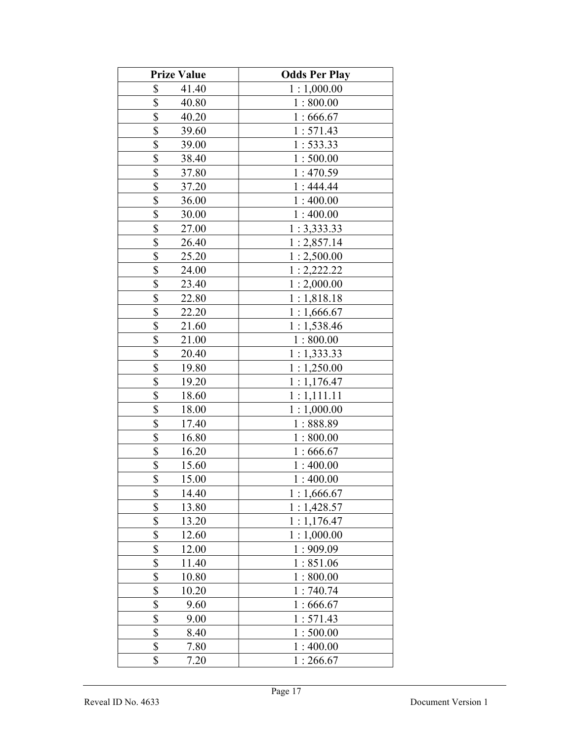| <b>Prize Value</b>       | <b>Odds Per Play</b> |
|--------------------------|----------------------|
| \$<br>41.40              | 1:1,000.00           |
| \$<br>40.80              | 1:800.00             |
| \$<br>40.20              | 1:666.67             |
| \$<br>39.60              | 1:571.43             |
| \$<br>39.00              | 1:533.33             |
| \$<br>38.40              | 1:500.00             |
| \$<br>37.80              | 1:470.59             |
| \$<br>37.20              | 1:444.44             |
| \$<br>36.00              | 1:400.00             |
| \$<br>30.00              | 1:400.00             |
| \$<br>27.00              | 1:3,333.33           |
| \$<br>26.40              | 1:2,857.14           |
| \$<br>25.20              | 1:2,500.00           |
| \$<br>24.00              | 1:2,222.22           |
| \$<br>23.40              | 1:2,000.00           |
| \$<br>22.80              | 1:1,818.18           |
| \$<br>22.20              | 1:1,666.67           |
| \$<br>21.60              | 1:1,538.46           |
| \$<br>21.00              | 1:800.00             |
| \$<br>20.40              | 1:1,333.33           |
| \$<br>19.80              | 1:1,250.00           |
| \$<br>19.20              | 1:1,176.47           |
| \$<br>18.60              | 1:1,111.11           |
| \$<br>18.00              | 1:1,000.00           |
| \$<br>17.40              | 1:888.89             |
| $\frac{1}{2}$<br>16.80   | 1:800.00             |
| $\frac{1}{2}$<br>16.20   | 1:666.67             |
| $\overline{\$}$<br>15.60 | 1:400.00             |
| $\overline{\$}$<br>15.00 | 1:400.00             |
| \$<br>14.40              | 1:1,666.67           |
| \$<br>13.80              | 1:1,428.57           |
| \$<br>13.20              | 1:1,176.47           |
| \$<br>12.60              | 1:1,000.00           |
| \$<br>12.00              | 1:909.09             |
| \$<br>11.40              | 1:851.06             |
| \$<br>10.80              | 1:800.00             |
| \$<br>10.20              | 1:740.74             |
| \$<br>9.60               | 1:666.67             |
| \$<br>9.00               | 1:571.43             |
| \$<br>8.40               | 1:500.00             |
| \$<br>7.80               | 1:400.00             |
| \$<br>7.20               | 1:266.67             |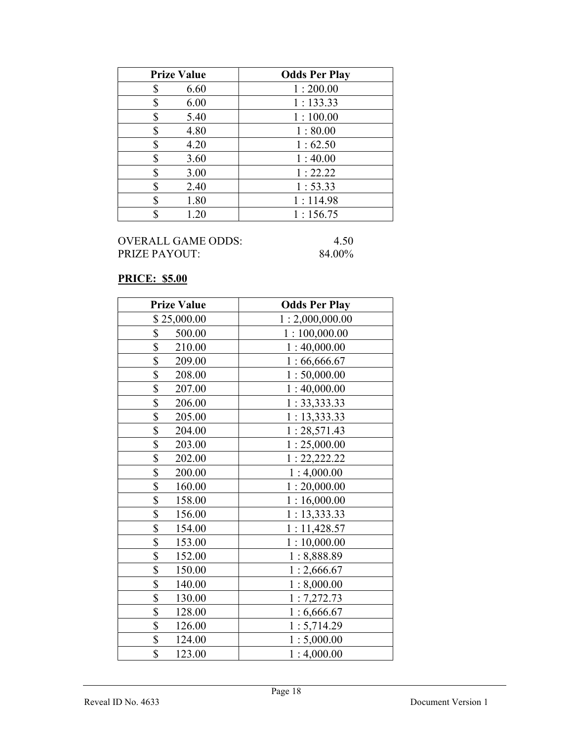| <b>Prize Value</b> | <b>Odds Per Play</b> |
|--------------------|----------------------|
| 6.60<br>S          | 1:200.00             |
| 6.00<br>\$         | 1:133.33             |
| S<br>5.40          | 1:100.00             |
| 4.80<br>\$         | 1:80.00              |
| 4.20<br>S          | 1:62.50              |
| S<br>3.60          | 1:40.00              |
| 3.00<br>\$         | 1:22.22              |
| \$<br>2.40         | 1:53.33              |
| S<br>1.80          | 1:114.98             |
| 1.20               | 1:156.75             |

#### PRICE: \$5.00

| <b>Prize Value</b>        | <b>Odds Per Play</b> |
|---------------------------|----------------------|
| \$25,000.00               | 1:2,000,000.00       |
| \$<br>500.00              | 1:100,000.00         |
| \$<br>210.00              | 1:40,000.00          |
| \$<br>209.00              | 1:66,666.67          |
| \$<br>208.00              | 1:50,000.00          |
| \$<br>207.00              | 1:40,000.00          |
| \$<br>206.00              | 1: 33,333.33         |
| \$<br>205.00              | 1:13,333.33          |
| $\overline{\$}$<br>204.00 | 1:28,571.43          |
| \$<br>203.00              | 1:25,000.00          |
| \$<br>202.00              | 1: 22, 222.22        |
| \$<br>200.00              | 1:4,000.00           |
| \$<br>160.00              | 1:20,000.00          |
| \$<br>158.00              | 1:16,000.00          |
| \$<br>156.00              | 1:13,333.33          |
| \$<br>154.00              | 1:11,428.57          |
| \$<br>153.00              | 1:10,000.00          |
| \$<br>152.00              | 1:8,888.89           |
| \$<br>150.00              | 1:2,666.67           |
| \$<br>140.00              | 1:8,000.00           |
| \$<br>130.00              | 1:7,272.73           |
| \$<br>128.00              | 1:6,666.67           |
| \$<br>126.00              | 1:5,714.29           |
| \$<br>124.00              | 1:5,000.00           |
| \$<br>123.00              | 1:4,000.00           |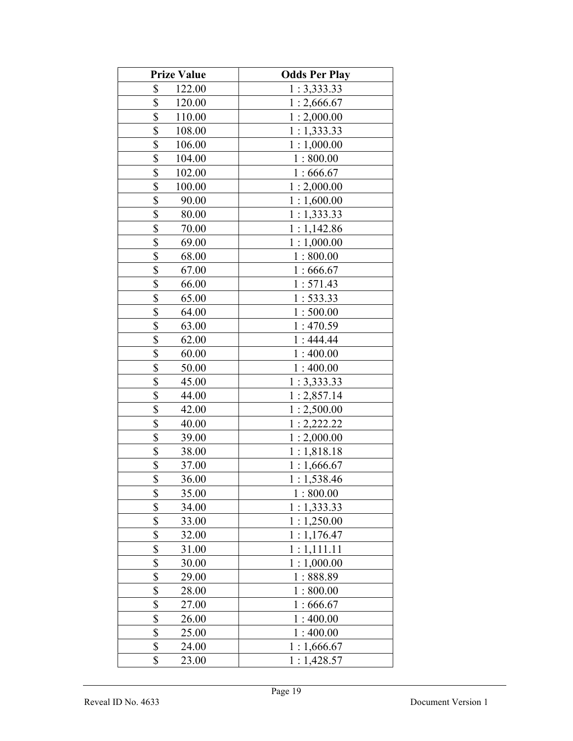| <b>Prize Value</b>     | <b>Odds Per Play</b> |
|------------------------|----------------------|
| \$<br>122.00           | 1:3,333.33           |
| \$<br>120.00           | 1:2,666.67           |
| \$<br>110.00           | 1:2,000.00           |
| \$<br>108.00           | 1:1,333.33           |
| \$<br>106.00           | 1:1,000.00           |
| \$<br>104.00           | 1:800.00             |
| \$<br>102.00           | 1:666.67             |
| \$<br>100.00           | 1:2,000.00           |
| \$<br>90.00            | 1:1,600.00           |
| \$<br>80.00            | 1:1,333.33           |
| \$<br>70.00            | 1:1,142.86           |
| \$<br>69.00            | 1:1,000.00           |
| \$<br>68.00            | 1:800.00             |
| \$<br>67.00            | 1:666.67             |
| \$<br>66.00            | 1:571.43             |
| \$<br>65.00            | 1:533.33             |
| \$<br>64.00            | 1:500.00             |
| \$<br>63.00            | 1:470.59             |
| \$<br>62.00            | 1:444.44             |
| \$<br>60.00            | 1:400.00             |
| \$<br>50.00            | 1:400.00             |
| \$<br>45.00            | 1:3,333.33           |
| \$<br>44.00            | 1:2,857.14           |
| \$<br>42.00            | 1:2,500.00           |
| \$<br>40.00            | 1:2,222.22           |
| $\frac{1}{2}$<br>39.00 | 1:2,000.00           |
| $\frac{1}{2}$<br>38.00 | 1:1,818.18           |
| \$<br>37.00            | 1:1,666.67           |
| \$<br>36.00            | 1:1,538.46           |
| \$<br>35.00            | 1:800.00             |
| \$<br>34.00            | 1:1,333.33           |
| \$<br>33.00            | 1:1,250.00           |
| \$<br>32.00            | 1:1,176.47           |
| \$<br>31.00            | 1:1,111.11           |
| \$<br>30.00            | 1:1,000.00           |
| \$<br>29.00            | 1:888.89             |
| \$<br>28.00            | 1:800.00             |
| \$<br>27.00            | 1:666.67             |
| \$<br>26.00            | 1:400.00             |
| \$<br>25.00            | 1:400.00             |
| \$<br>24.00            | 1:1,666.67           |
| \$<br>23.00            | 1:1,428.57           |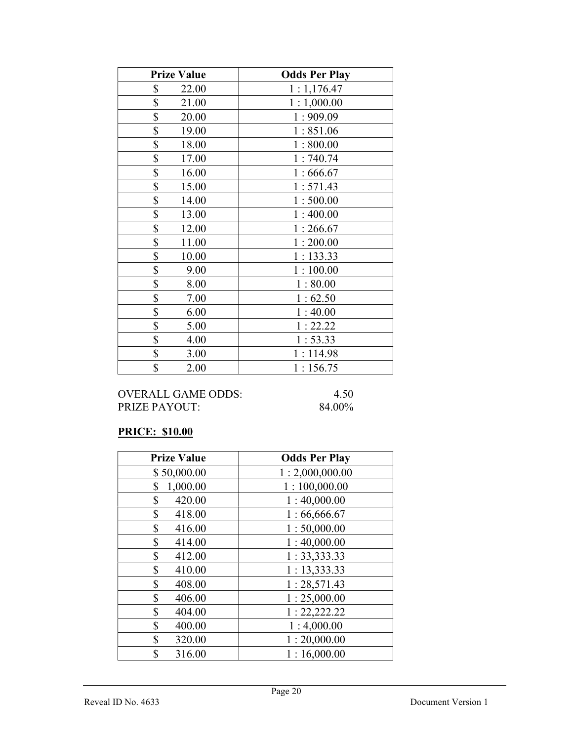| <b>Prize Value</b> | <b>Odds Per Play</b> |
|--------------------|----------------------|
| \$<br>22.00        | 1:1,176.47           |
| \$<br>21.00        | 1:1,000.00           |
| \$<br>20.00        | 1:909.09             |
| \$<br>19.00        | 1:851.06             |
| \$<br>18.00        | 1:800.00             |
| \$<br>17.00        | 1:740.74             |
| \$<br>16.00        | 1:666.67             |
| \$<br>15.00        | 1:571.43             |
| \$<br>14.00        | 1:500.00             |
| \$<br>13.00        | 1:400.00             |
| \$<br>12.00        | 1:266.67             |
| \$<br>11.00        | 1:200.00             |
| \$<br>10.00        | 1:133.33             |
| \$<br>9.00         | 1:100.00             |
| \$<br>8.00         | 1:80.00              |
| \$<br>7.00         | 1:62.50              |
| \$<br>6.00         | 1:40.00              |
| \$<br>5.00         | 1:22.22              |
| \$<br>4.00         | 1:53.33              |
| \$<br>3.00         | 1:114.98             |
| \$<br>2.00         | 1:156.75             |

## PRICE: \$10.00

| <b>Prize Value</b> | <b>Odds Per Play</b> |
|--------------------|----------------------|
| \$50,000.00        | 1:2,000,000.00       |
| \$<br>1,000.00     | 1:100,000.00         |
| \$<br>420.00       | 1:40,000.00          |
| \$<br>418.00       | 1:66,666.67          |
| \$<br>416.00       | 1:50,000.00          |
| \$<br>414.00       | 1:40,000.00          |
| \$<br>412.00       | 1: 33, 333.33        |
| \$<br>410.00       | 1: 13,333.33         |
| \$<br>408.00       | 1:28,571.43          |
| \$<br>406.00       | 1:25,000.00          |
| \$<br>404.00       | 1: 22, 222.22        |
| \$<br>400.00       | 1:4,000.00           |
| \$<br>320.00       | 1:20,000.00          |
| \$<br>316.00       | 1:16,000.00          |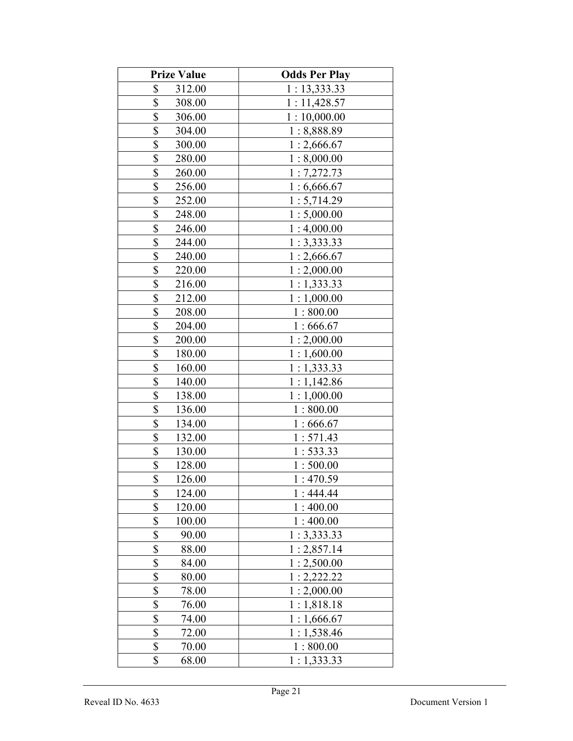| <b>Prize Value</b>      | <b>Odds Per Play</b> |
|-------------------------|----------------------|
| \$<br>312.00            | 1:13,333.33          |
| \$<br>308.00            | 1:11,428.57          |
| \$<br>306.00            | 1:10,000.00          |
| \$<br>304.00            | 1:8,888.89           |
| \$<br>300.00            | 1:2,666.67           |
| \$<br>280.00            | 1:8,000.00           |
| \$<br>260.00            | 1:7,272.73           |
| \$<br>256.00            | 1:6,666.67           |
| \$<br>252.00            | 1:5,714.29           |
| \$<br>248.00            | 1:5,000.00           |
| \$<br>246.00            | 1:4,000.00           |
| \$<br>244.00            | 1:3,333.33           |
| \$<br>240.00            | 1:2,666.67           |
| \$<br>220.00            | 1:2,000.00           |
| \$<br>216.00            | 1:1,333.33           |
| \$<br>212.00            | 1:1,000.00           |
| \$<br>208.00            | 1:800.00             |
| \$<br>204.00            | 1:666.67             |
| \$<br>200.00            | 1:2,000.00           |
| \$<br>180.00            | 1:1,600.00           |
| \$<br>160.00            | 1:1,333.33           |
| \$<br>140.00            | 1:1,142.86           |
| \$<br>138.00            | 1:1,000.00           |
| \$<br>136.00            | 1:800.00             |
| \$<br>134.00            | 1:666.67             |
| $\frac{1}{2}$<br>132.00 | 1:571.43             |
| $\frac{1}{2}$<br>130.00 | 1:533.33             |
| \$<br>128.00            | 1:500.00             |
| \$<br>126.00            | 1:470.59             |
| \$<br>124.00            | 1:444.44             |
| \$<br>120.00            | 1:400.00             |
| \$<br>100.00            | 1:400.00             |
| \$<br>90.00             | 1:3,333.33           |
| \$<br>88.00             | 1:2,857.14           |
| \$<br>84.00             | 1:2,500.00           |
| \$<br>80.00             | 1:2,222.22           |
| \$<br>78.00             | 1:2,000.00           |
| \$<br>76.00             | 1:1,818.18           |
| \$<br>74.00             | 1:1,666.67           |
| \$<br>72.00             | 1:1,538.46           |
| \$<br>70.00             | 1:800.00             |
| \$<br>68.00             | 1:1,333.33           |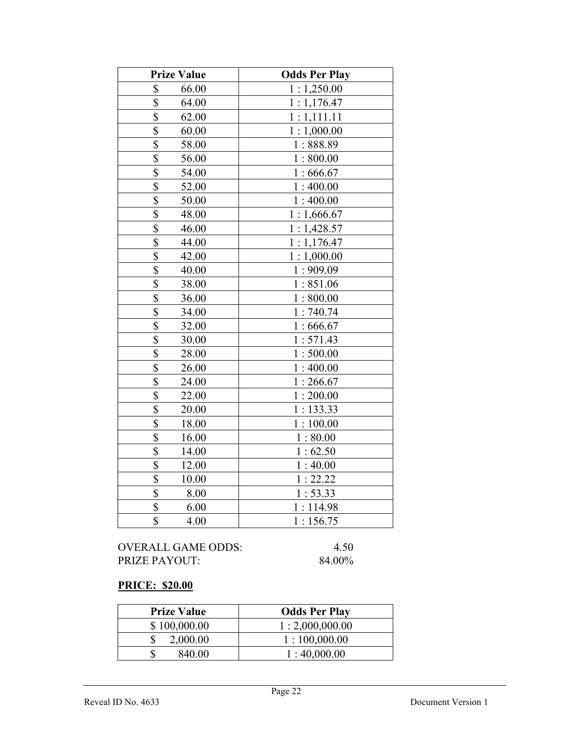| <b>Prize Value</b>               | <b>Odds Per Play</b> |
|----------------------------------|----------------------|
| \$<br>66.00                      | 1:1,250.00           |
| \$<br>64.00                      | 1:1,176.47           |
| \$<br>62.00                      | 1:1,111.11           |
| \$<br>60.00                      | 1:1,000.00           |
| \$<br>58.00                      | 1:888.89             |
| \$<br>56.00                      | 1:800.00             |
| \$<br>54.00                      | 1:666.67             |
| \$<br>52.00                      | 1:400.00             |
| \$<br>50.00                      | 1:400.00             |
| \$<br>48.00                      | 1:1,666.67           |
| $\overline{\$}$<br>46.00         | 1:1,428.57           |
| \$<br>44.00                      | 1:1,176.47           |
| \$<br>42.00                      | 1:1,000.00           |
| $\overline{\mathbb{S}}$<br>40.00 | 1:909.09             |
| \$<br>38.00                      | 1:851.06             |
| \$<br>36.00                      | 1:800.00             |
| \$<br>34.00                      | 1:740.74             |
| $\overline{\$}$<br>32.00         | 1:666.67             |
| \$<br>30.00                      | 1:571.43             |
| \$<br>28.00                      | 1:500.00             |
| \$<br>26.00                      | 1:400.00             |
| $\overline{\$}$<br>24.00         | 1:266.67             |
| $\overline{\$}$<br>22.00         | 1:200.00             |
| \$<br>20.00                      | 1:133.33             |
| $\overline{\$}$<br>18.00         | 1:100.00             |
| \$<br>16.00                      | 1:80.00              |
| \$<br>14.00                      | 1:62.50              |
| \$<br>12.00                      | 1:40.00              |
| $\overline{\$}$<br>10.00         | 1:22.22              |
| \$<br>8.00                       | 1:53.33              |
| \$<br>6.00                       | 1:114.98             |
| \$<br>4.00                       | 1:156.75             |

## PRICE: \$20.00

| <b>Prize Value</b> | <b>Odds Per Play</b> |
|--------------------|----------------------|
| \$100,000.00       | 1:2,000,000.00       |
| 2,000.00           | 1:100,000.00         |
| 840.00             | 1:40,000.00          |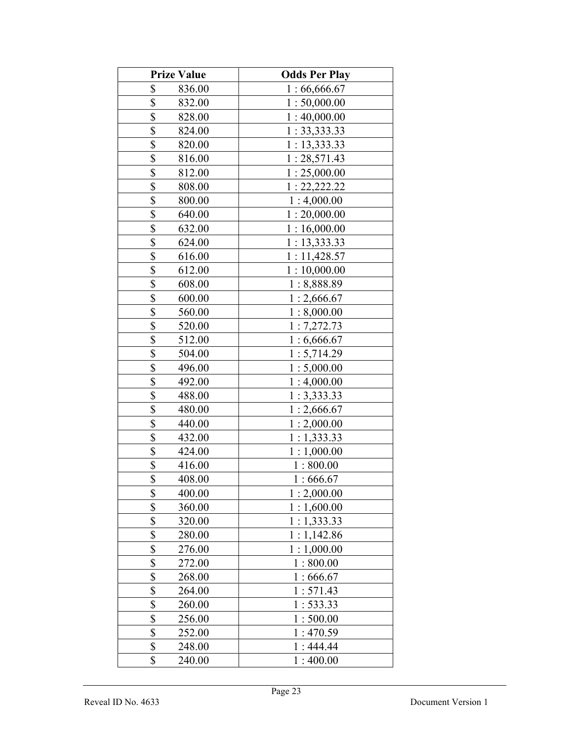| <b>Prize Value</b>                  | <b>Odds Per Play</b> |
|-------------------------------------|----------------------|
| \$<br>836.00                        | 1:66,666.67          |
| \$<br>832.00                        | 1:50,000.00          |
| \$<br>828.00                        | 1:40,000.00          |
| \$<br>824.00                        | 1: 33,333.33         |
| \$<br>820.00                        | 1: 13, 333.33        |
| \$<br>816.00                        | 1:28,571.43          |
| \$<br>812.00                        | 1:25,000.00          |
| \$<br>808.00                        | 1: 22, 222.22        |
| \$<br>800.00                        | 1:4,000.00           |
| \$<br>640.00                        | 1:20,000.00          |
| \$<br>632.00                        | 1:16,000.00          |
| \$<br>624.00                        | 1: 13, 333.33        |
| \$<br>616.00                        | 1:11,428.57          |
| \$<br>612.00                        | 1:10,000.00          |
| \$<br>608.00                        | 1:8,888.89           |
| \$<br>600.00                        | 1:2,666.67           |
| \$<br>560.00                        | 1:8,000.00           |
| \$<br>520.00                        | 1:7,272.73           |
| \$<br>512.00                        | 1:6,666.67           |
| \$<br>504.00                        | 1:5,714.29           |
| \$<br>496.00                        | 1:5,000.00           |
| \$<br>492.00                        | 1:4,000.00           |
| $\boldsymbol{\mathsf{S}}$<br>488.00 | 1:3,333.33           |
| $\overline{\$}$<br>480.00           | 1:2,666.67           |
| $\overline{\mathbb{S}}$<br>440.00   | 1:2,000.00           |
| \$<br>432.00                        | 1:1,333.33           |
| \$<br>424.00                        | 1:1,000.00           |
| \$<br>416.00                        | 1:800.00             |
| \$<br>408.00                        | 1:666.67             |
| \$<br>400.00                        | 1:2,000.00           |
| \$<br>360.00                        | 1:1,600.00           |
| \$<br>320.00                        | 1:1,333.33           |
| \$<br>280.00                        | 1:1,142.86           |
| \$<br>276.00                        | 1:1,000.00           |
| \$<br>272.00                        | 1:800.00             |
| \$<br>268.00                        | 1:666.67             |
| \$<br>264.00                        | 1:571.43             |
| \$<br>260.00                        | 1:533.33             |
| \$<br>256.00                        | 1:500.00             |
| \$<br>252.00                        | 1:470.59             |
| \$<br>248.00                        | 1:444.44             |
| \$<br>240.00                        | 1:400.00             |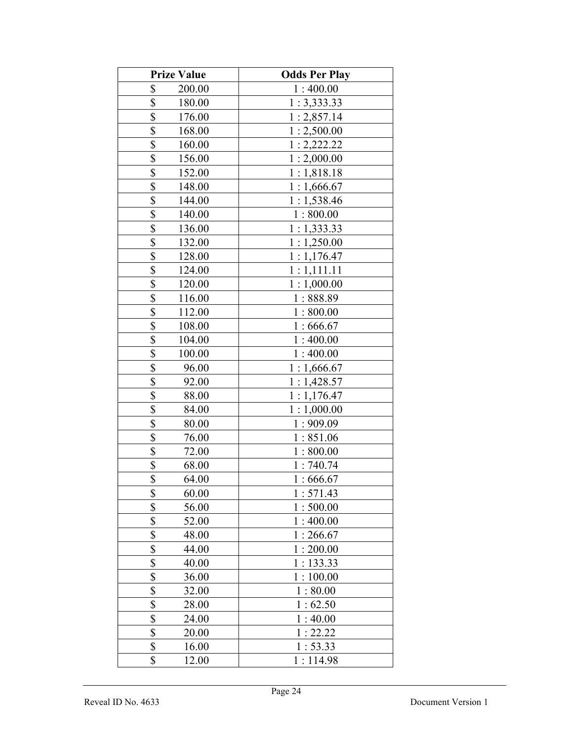| <b>Prize Value</b>                 | <b>Odds Per Play</b> |
|------------------------------------|----------------------|
| \$<br>200.00                       | 1:400.00             |
| \$<br>180.00                       | 1:3,333.33           |
| \$<br>176.00                       | 1:2,857.14           |
| \$<br>168.00                       | 1:2,500.00           |
| \$<br>160.00                       | 1:2,222.22           |
| \$<br>156.00                       | 1:2,000.00           |
| \$<br>152.00                       | 1:1,818.18           |
| \$<br>148.00                       | 1:1,666.67           |
| \$<br>144.00                       | 1:1,538.46           |
| \$<br>140.00                       | 1:800.00             |
| \$<br>136.00                       | 1:1,333.33           |
| \$<br>132.00                       | 1:1,250.00           |
| \$<br>128.00                       | 1:1,176.47           |
| \$<br>124.00                       | 1:1,111.11           |
| \$<br>120.00                       | 1:1,000.00           |
| \$<br>116.00                       | 1:888.89             |
| \$<br>112.00                       | 1:800.00             |
| \$<br>108.00                       | 1:666.67             |
| \$<br>104.00                       | 1:400.00             |
| \$<br>100.00                       | 1:400.00             |
| \$<br>96.00                        | 1:1,666.67           |
| \$<br>92.00                        | 1:1,428.57           |
| \$<br>88.00                        | 1:1,176.47           |
| \$<br>84.00                        | 1:1,000.00           |
| \$<br>80.00                        | 1:909.09             |
| $\overline{\mathbb{S}}$<br>76.00   | 1:851.06             |
| 72.00                              | 1:800.00             |
| $\frac{\$}{\$}$<br>68.00           | 1:740.74             |
| 64.00                              | 1:666.67             |
| \$<br>60.00                        | 1:571.43             |
| \$<br>56.00                        | 1:500.00             |
| \$<br>52.00                        | 1:400.00             |
| \$<br>48.00                        | 1:266.67             |
| $\boldsymbol{\mathsf{S}}$<br>44.00 | 1:200.00             |
| \$<br>40.00                        | 1:133.33             |
| \$<br>36.00                        | 1:100.00             |
| \$<br>32.00                        | 1:80.00              |
| \$<br>28.00                        | 1:62.50              |
| \$<br>24.00                        | 1:40.00              |
| \$<br>20.00                        | 1:22.22              |
| \$<br>16.00                        | 1:53.33              |
| \$<br>12.00                        | 1:114.98             |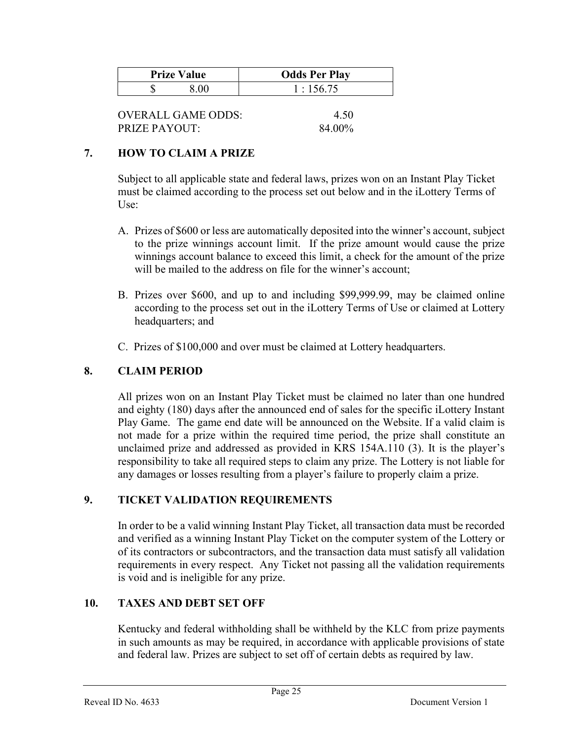| <b>Prize Value</b> | <b>Odds Per Play</b> |
|--------------------|----------------------|
|                    | 1:156.75             |

| OVERALL GAME ODDS: | 4.50   |
|--------------------|--------|
| PRIZE PAYOUT:      | 84.00% |

#### 7. HOW TO CLAIM A PRIZE

Subject to all applicable state and federal laws, prizes won on an Instant Play Ticket must be claimed according to the process set out below and in the iLottery Terms of Use:

- A. Prizes of \$600 or less are automatically deposited into the winner's account, subject to the prize winnings account limit. If the prize amount would cause the prize winnings account balance to exceed this limit, a check for the amount of the prize will be mailed to the address on file for the winner's account;
- B. Prizes over \$600, and up to and including \$99,999.99, may be claimed online according to the process set out in the iLottery Terms of Use or claimed at Lottery headquarters; and
- C. Prizes of \$100,000 and over must be claimed at Lottery headquarters.

#### 8. CLAIM PERIOD

 All prizes won on an Instant Play Ticket must be claimed no later than one hundred and eighty (180) days after the announced end of sales for the specific iLottery Instant Play Game. The game end date will be announced on the Website. If a valid claim is not made for a prize within the required time period, the prize shall constitute an unclaimed prize and addressed as provided in KRS 154A.110 (3). It is the player's responsibility to take all required steps to claim any prize. The Lottery is not liable for any damages or losses resulting from a player's failure to properly claim a prize.

#### 9. TICKET VALIDATION REQUIREMENTS

In order to be a valid winning Instant Play Ticket, all transaction data must be recorded and verified as a winning Instant Play Ticket on the computer system of the Lottery or of its contractors or subcontractors, and the transaction data must satisfy all validation requirements in every respect. Any Ticket not passing all the validation requirements is void and is ineligible for any prize.

#### 10. TAXES AND DEBT SET OFF

 Kentucky and federal withholding shall be withheld by the KLC from prize payments in such amounts as may be required, in accordance with applicable provisions of state and federal law. Prizes are subject to set off of certain debts as required by law.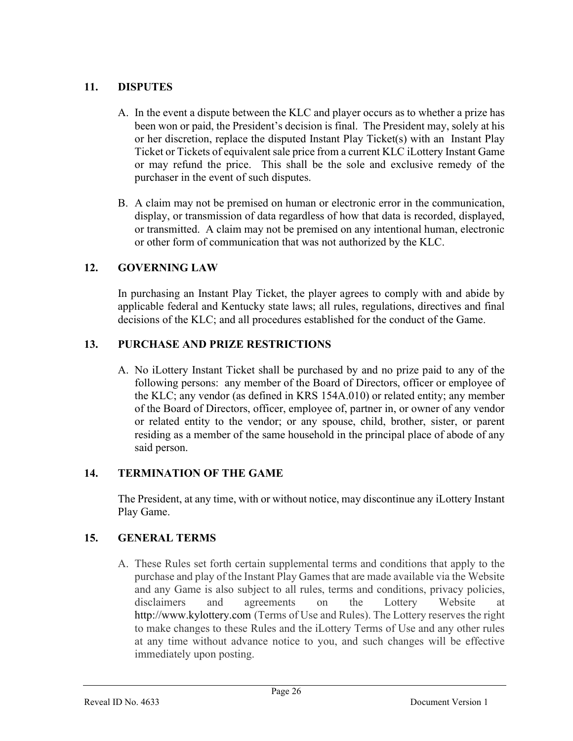## 11. DISPUTES

- A. In the event a dispute between the KLC and player occurs as to whether a prize has been won or paid, the President's decision is final. The President may, solely at his or her discretion, replace the disputed Instant Play Ticket(s) with an Instant Play Ticket or Tickets of equivalent sale price from a current KLC iLottery Instant Game or may refund the price. This shall be the sole and exclusive remedy of the purchaser in the event of such disputes.
- B. A claim may not be premised on human or electronic error in the communication, display, or transmission of data regardless of how that data is recorded, displayed, or transmitted. A claim may not be premised on any intentional human, electronic or other form of communication that was not authorized by the KLC.

## 12. GOVERNING LAW

 In purchasing an Instant Play Ticket, the player agrees to comply with and abide by applicable federal and Kentucky state laws; all rules, regulations, directives and final decisions of the KLC; and all procedures established for the conduct of the Game.

## 13. PURCHASE AND PRIZE RESTRICTIONS

A. No iLottery Instant Ticket shall be purchased by and no prize paid to any of the following persons: any member of the Board of Directors, officer or employee of the KLC; any vendor (as defined in KRS 154A.010) or related entity; any member of the Board of Directors, officer, employee of, partner in, or owner of any vendor or related entity to the vendor; or any spouse, child, brother, sister, or parent residing as a member of the same household in the principal place of abode of any said person.

## 14. TERMINATION OF THE GAME

The President, at any time, with or without notice, may discontinue any iLottery Instant Play Game.

## 15. GENERAL TERMS

A. These Rules set forth certain supplemental terms and conditions that apply to the purchase and play of the Instant Play Games that are made available via the Website and any Game is also subject to all rules, terms and conditions, privacy policies, disclaimers and agreements on the Lottery Website at http://www.kylottery.com (Terms of Use and Rules). The Lottery reserves the right to make changes to these Rules and the iLottery Terms of Use and any other rules at any time without advance notice to you, and such changes will be effective immediately upon posting.